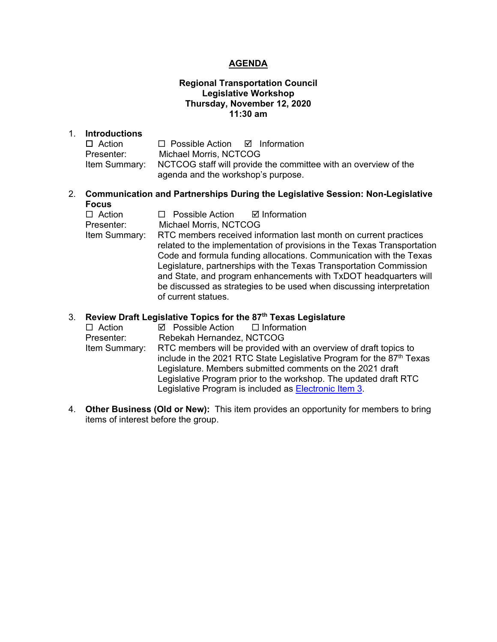### **AGENDA**

### **Regional Transportation Council Legislative Workshop Thursday, November 12, 2020 11:30 am**

#### 1. **Introductions**

| $\Box$ Action | $\Box$ Possible Action $\Box$ Information                                      |
|---------------|--------------------------------------------------------------------------------|
| Presenter:    | Michael Morris, NCTCOG                                                         |
|               | Item Summary:  NCTCOG staff will provide the committee with an overview of the |
|               | agenda and the workshop's purpose.                                             |

### 2. **Communication and Partnerships During the Legislative Session: Non-Legislative Focus**

| $\Box$ Action | $\Box$ Possible Action $\Box$ Information                               |
|---------------|-------------------------------------------------------------------------|
| Presenter:    | Michael Morris, NCTCOG                                                  |
| Item Summary: | RTC members received information last month on current practices        |
|               | related to the implementation of provisions in the Texas Transportation |
|               | Code and formula funding allocations. Communication with the Texas      |
|               | Legislature, partnerships with the Texas Transportation Commission      |
|               | and State, and program enhancements with TxDOT headquarters will        |
|               | be discussed as strategies to be used when discussing interpretation    |
|               | of current statues.                                                     |

### 3. **Review Draft Legislative Topics for the 87th Texas Legislature**

| $\Box$ Action | $\boxtimes$ Possible Action $\Box$ Information                                   |
|---------------|----------------------------------------------------------------------------------|
| Presenter:    | Rebekah Hernandez, NCTCOG                                                        |
| Item Summary: | RTC members will be provided with an overview of draft topics to                 |
|               | include in the 2021 RTC State Legislative Program for the 87 <sup>th</sup> Texas |
|               | Legislature. Members submitted comments on the 2021 draft                        |
|               | Legislative Program prior to the workshop. The updated draft RTC                 |
|               | Legislative Program is included as <b>Electronic Item 3</b> .                    |
|               |                                                                                  |

 4. **Other Business (Old or New):** This item provides an opportunity for members to bring items of interest before the group.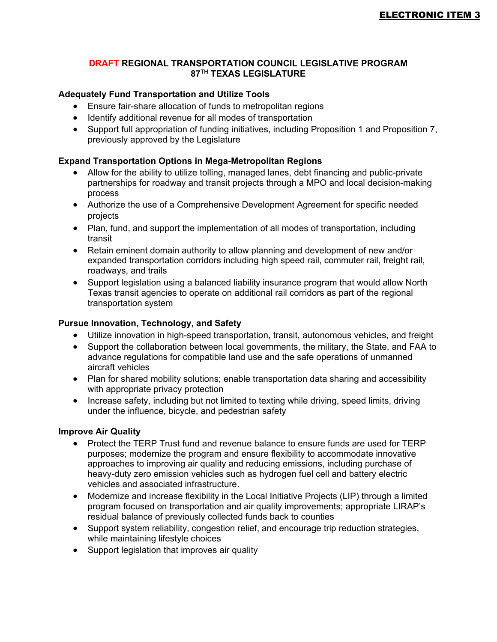### <span id="page-1-0"></span>**DRAFT REGIONAL TRANSPORTATION COUNCIL LEGISLATIVE PROGRAM 87TH TEXAS LEGISLATURE**

### **Adequately Fund Transportation and Utilize Tools**

- Ensure fair-share allocation of funds to metropolitan regions
- Identify additional revenue for all modes of transportation
- Support full appropriation of funding initiatives, including Proposition 1 and Proposition 7, previously approved by the Legislature

### **Expand Transportation Options in Mega-Metropolitan Regions**

- Allow for the ability to utilize tolling, managed lanes, debt financing and public-private partnerships for roadway and transit projects through a MPO and local decision-making process
- Authorize the use of a Comprehensive Development Agreement for specific needed projects
- Plan, fund, and support the implementation of all modes of transportation, including transit
- Retain eminent domain authority to allow planning and development of new and/or expanded transportation corridors including high speed rail, commuter rail, freight rail, roadways, and trails
- Support legislation using a balanced liability insurance program that would allow North Texas transit agencies to operate on additional rail corridors as part of the regional transportation system

### **Pursue Innovation, Technology, and Safety**

- Utilize innovation in high-speed transportation, transit, autonomous vehicles, and freight
- Support the collaboration between local governments, the military, the State, and FAA to advance regulations for compatible land use and the safe operations of unmanned aircraft vehicles
- Plan for shared mobility solutions; enable transportation data sharing and accessibility with appropriate privacy protection
- Increase safety, including but not limited to texting while driving, speed limits, driving under the influence, bicycle, and pedestrian safety

#### **Improve Air Quality**

- Protect the TERP Trust fund and revenue balance to ensure funds are used for TERP purposes; modernize the program and ensure flexibility to accommodate innovative approaches to improving air quality and reducing emissions, including purchase of heavy-duty zero emission vehicles such as hydrogen fuel cell and battery electric vehicles and associated infrastructure.
- Modernize and increase flexibility in the Local Initiative Projects (LIP) through a limited program focused on transportation and air quality improvements; appropriate LIRAP's residual balance of previously collected funds back to counties
- Support system reliability, congestion relief, and encourage trip reduction strategies, while maintaining lifestyle choices
- Support legislation that improves air quality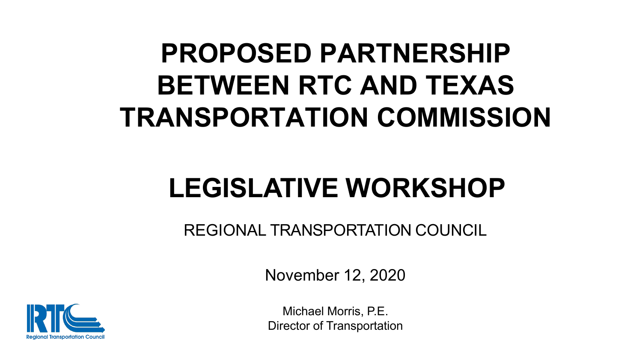# **PROPOSED PARTNERSHIP BETWEEN RTC AND TEXAS TRANSPORTATION COMMISSION**

# **LEGISLATIVE WORKSHOP**

REGIONAL TRANSPORTATION COUNCIL

November 12, 2020



Michael Morris, P.E. Director of Transportation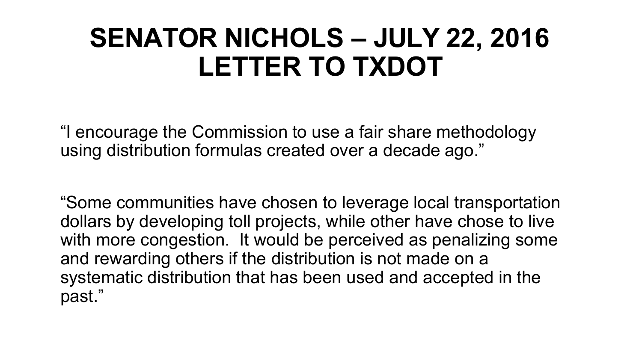## **SENATOR NICHOLS – JULY 22, 2016 LETTER TO TXDOT**

"I encourage the Commission to use a fair share methodology using distribution formulas created over a decade ago."

"Some communities have chosen to leverage local transportation dollars by developing toll projects, while other have chose to live with more congestion. It would be perceived as penalizing some and rewarding others if the distribution is not made on a systematic distribution that has been used and accepted in the past."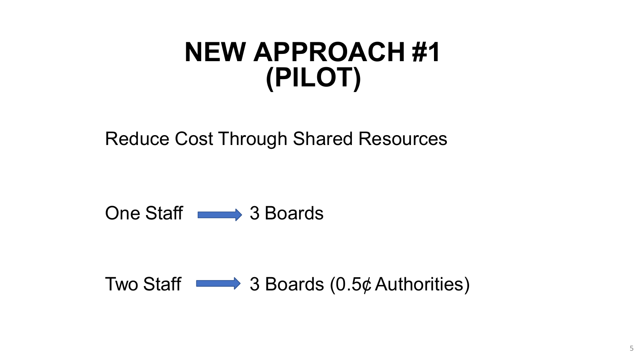## **NEW APPROACH #1 (PILOT)**

Reduce Cost Through Shared Resources

One Staff 3 Boards

Two Staff  $\longrightarrow$  3 Boards (0.5¢ Authorities)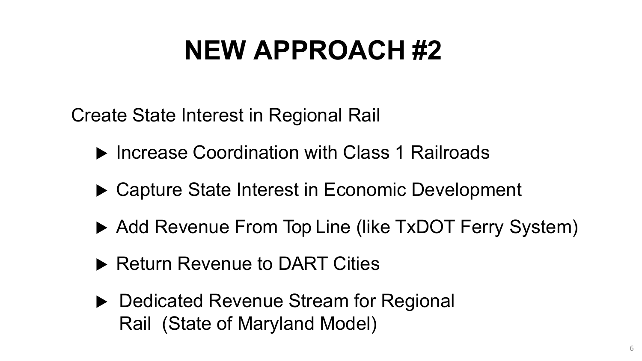# **NEW APPROACH #2**

Create State Interest in Regional Rail

- ▶ Increase Coordination with Class 1 Railroads
- ▶ Capture State Interest in Economic Development
- ▶ Add Revenue From Top Line (like TxDOT Ferry System)
- ▶ Return Revenue to DART Cities
- ▶ Dedicated Revenue Stream for Regional Rail (State of Maryland Model)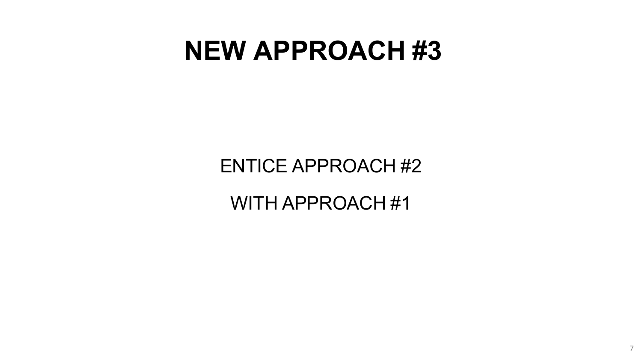## **NEW APPROACH #3**

ENTICE APPROACH #2

WITH APPROACH #1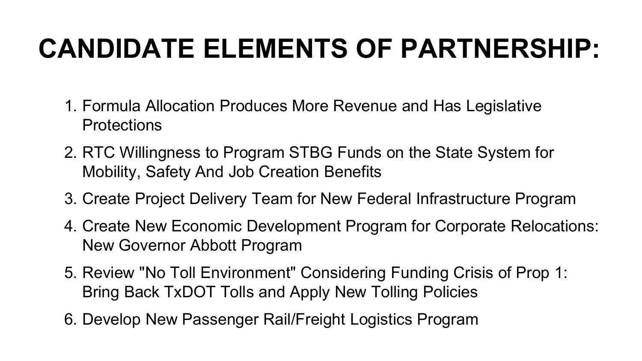# **CANDIDATE ELEMENTS OF PARTNERSHIP:**

- 1. Formula Allocation Produces More Revenue and Has Legislative Protections
- 2. RTC Willingness to Program STBG Funds on the State System for Mobility, Safety And Job Creation Benefits
- 3. Create Project Delivery Team for New Federal Infrastructure Program
- 4. Create New Economic Development Program for Corporate Relocations: New Governor Abbott Program
- 5. Review "No Toll Environment" Considering Funding Crisis of Prop 1: Bring Back TxDOT Tolls and Apply New Tolling Policies
- 6. Develop New Passenger Rail/Freight Logistics Program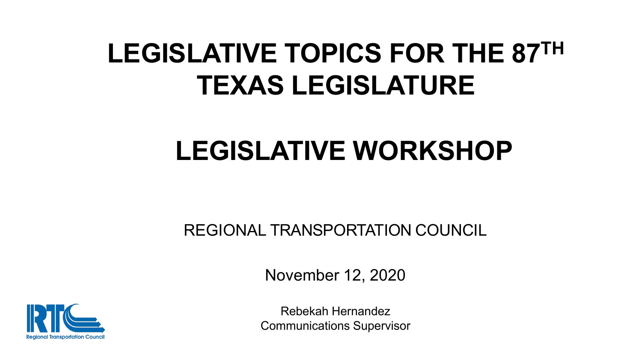# **LEGISLATIVE TOPICS FOR THE 87TH TEXAS LEGISLATURE**

# **LEGISLATIVE WORKSHOP**

REGIONAL TRANSPORTATION COUNCIL

November 12, 2020



Rebekah Hernandez Communications Supervisor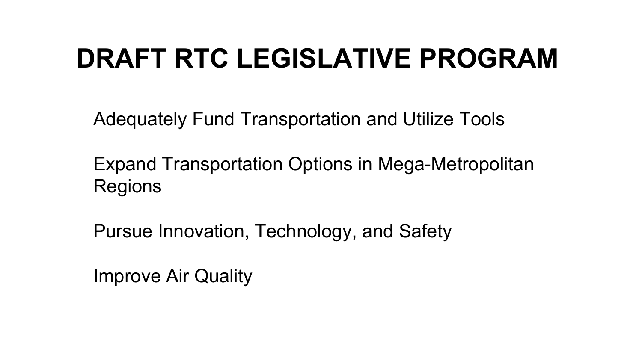Adequately Fund Transportation and Utilize Tools

Expand Transportation Options in Mega-Metropolitan Regions

Pursue Innovation, Technology, and Safety

Improve Air Quality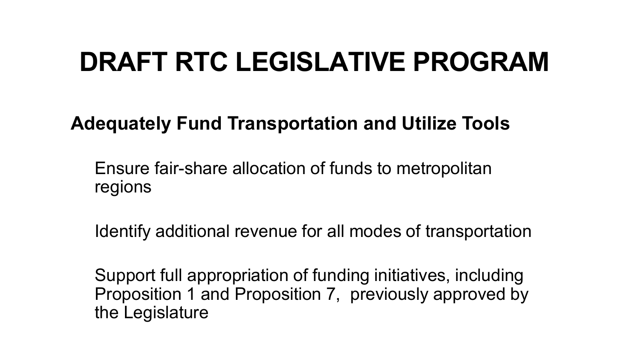## **Adequately Fund Transportation and Utilize Tools**

Ensure fair-share allocation of funds to metropolitan regions

Identify additional revenue for all modes of transportation

Support full appropriation of funding initiatives, including Proposition 1 and Proposition 7, previously approved by the Legislature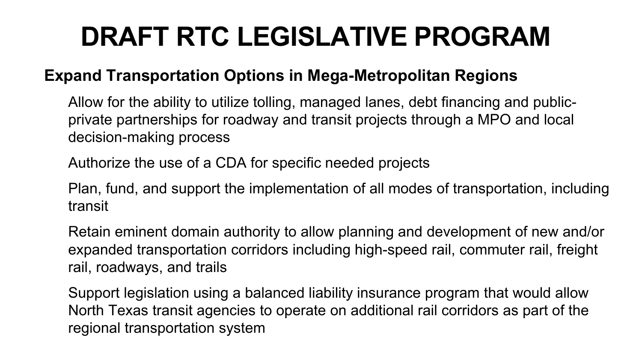### **Expand Transportation Options in Mega-Metropolitan Regions**

Allow for the ability to utilize tolling, managed lanes, debt financing and publicprivate partnerships for roadway and transit projects through a MPO and local decision-making process

Authorize the use of a CDA for specific needed projects

Plan, fund, and support the implementation of all modes of transportation, including transit

Retain eminent domain authority to allow planning and development of new and/or expanded transportation corridors including high-speed rail, commuter rail, freight rail, roadways, and trails

Support legislation using a balanced liability insurance program that would allow North Texas transit agencies to operate on additional rail corridors as part of the regional transportation system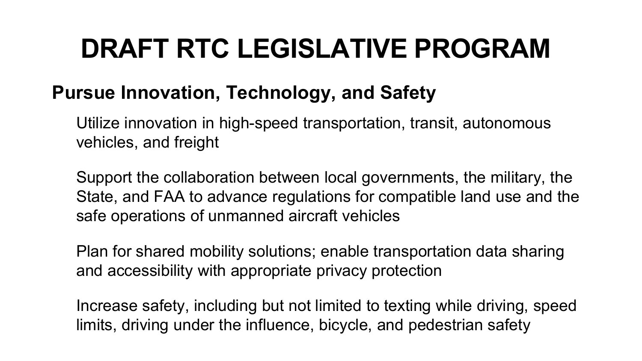### **Pursue Innovation, Technology, and Safety**

Utilize innovation in high-speed transportation, transit, autonomous vehicles, and freight

Support the collaboration between local governments, the military, the State, and FAA to advance regulations for compatible land use and the safe operations of unmanned aircraft vehicles

Plan for shared mobility solutions; enable transportation data sharing and accessibility with appropriate privacy protection

Increase safety, including but not limited to texting while driving, speed limits, driving under the influence, bicycle, and pedestrian safety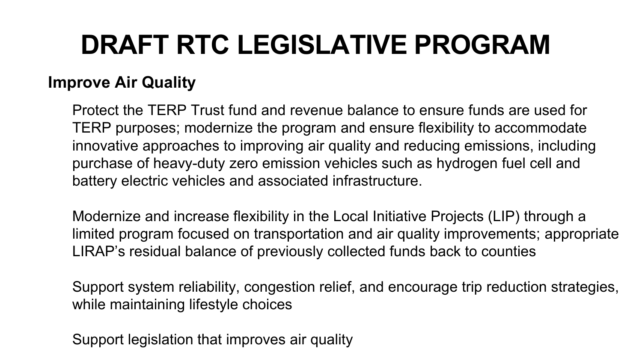### **Improve Air Quality**

Protect the TERP Trust fund and revenue balance to ensure funds are used for TERP purposes; modernize the program and ensure flexibility to accommodate innovative approaches to improving air quality and reducing emissions, including purchase of heavy-duty zero emission vehicles such as hydrogen fuel cell and battery electric vehicles and associated infrastructure.

Modernize and increase flexibility in the Local Initiative Projects (LIP) through a limited program focused on transportation and air quality improvements; appropriate LIRAP's residual balance of previously collected funds back to counties

Support system reliability, congestion relief, and encourage trip reduction strategies, while maintaining lifestyle choices

Support legislation that improves air quality